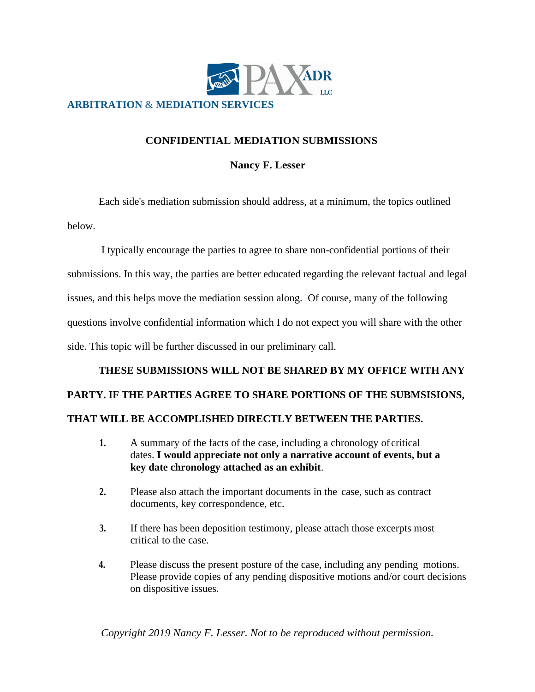

## **CONFIDENTIAL MEDIATION SUBMISSIONS**

## **Nancy F. Lesser**

Each side's mediation submission should address, at a minimum, the topics outlined below.

I typically encourage the parties to agree to share non-confidential portions of their submissions. In this way, the parties are better educated regarding the relevant factual and legal issues, and this helps move the mediation session along. Of course, many of the following questions involve confidential information which I do not expect you will share with the other side. This topic will be further discussed in our preliminary call.

## **THESE SUBMISSIONS WILL NOT BE SHARED BY MY OFFICE WITH ANY PARTY. IF THE PARTIES AGREE TO SHARE PORTIONS OF THE SUBMSISIONS, THAT WILL BE ACCOMPLISHED DIRECTLY BETWEEN THE PARTIES.**

- **1.** A summary of the facts of the case, including a chronology of critical dates. **I would appreciate not only a narrative account of events, but a key date chronology attached as an exhibit**.
- **2.** Please also attach the important documents in the case, such as contract documents, key correspondence, etc.
- **3.** If there has been deposition testimony, please attach those excerpts most critical to the case.
- **4.** Please discuss the present posture of the case, including any pending motions. Please provide copies of any pending dispositive motions and/or court decisions on dispositive issues.

*Copyright 2019 Nancy F. Lesser. Not to be reproduced without permission.*